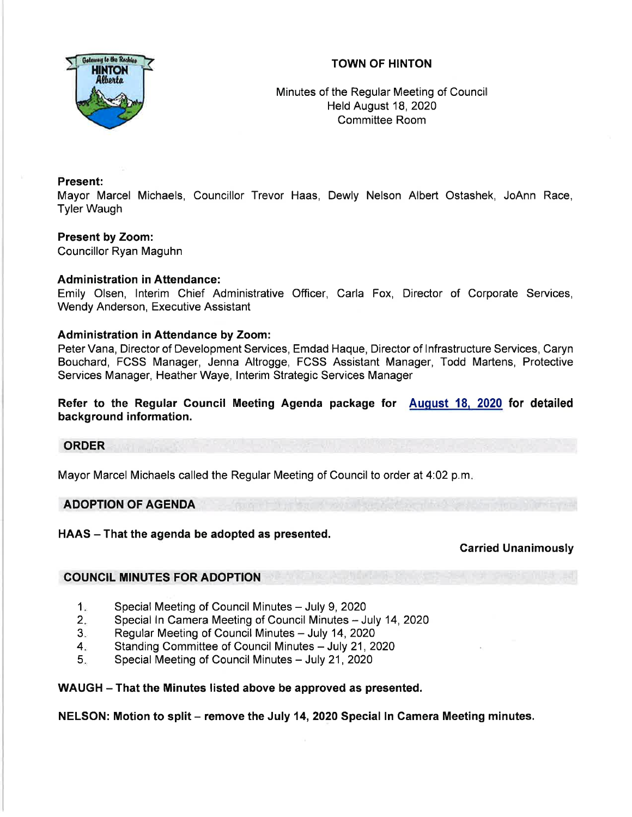# TOWN OF HINTON



Minutes of the Regular Meeting of Council Held August 18,2020 Committee Room

### Present:

Mayor Marcel Michaels, Councillor Trevor Haas, Dewly Nelson Albert Ostashek, JoAnn Race, Tyler Waugh

# Present by Zoom:

Councillor Ryan Maguhn

## Administration in Attendance:

Emily Olsen, lnterim Chief Administrative Officer, Carla Fox, Director of Corporate Services, Wendy Anderson, Executive Assistant

## Administration in Attendance by Zoom:

Peter Vana, Director of Development Services, Emdad Haque, Director of lnfrastructure Services, Caryn Bouchard, FCSS Manager, Jenna Altrogge, FCSS Assistant Manager, Todd Martens, Protective Services Manager, Heather Waye, lnterim Strategic Services Manager

# Refer to the Regular Council Meeting Agenda package for August 18, 2020 for detailed background information.

### ORDER

Mayor Marcel Michaels called the Regular Meeting of Council to order at 4'.02 p.m

### ADOPTION OF AGENDA

HAAS - That the agenda be adopted as presented.

## Garried Unanimously

## COUNCIL MINUTES FOR ADOPTION

- Special Meeting of Council Minutes July 9, 2020  $1<sub>2</sub>$
- Special In Camera Meeting of Council Minutes July 14, 2020  $2.$
- Regular Meeting of Council Minutes July 14, 2020 3
- Standing Committee of Council Minutes July 21, 2020  $4<sub>1</sub>$
- Special Meeting of Council Minutes July 21, 2020 5

### WAUGH - That the Minutes listed above be approved as presented.

NELSON: Motion to split – remove the July 14, 2020 Special In Camera Meeting minutes.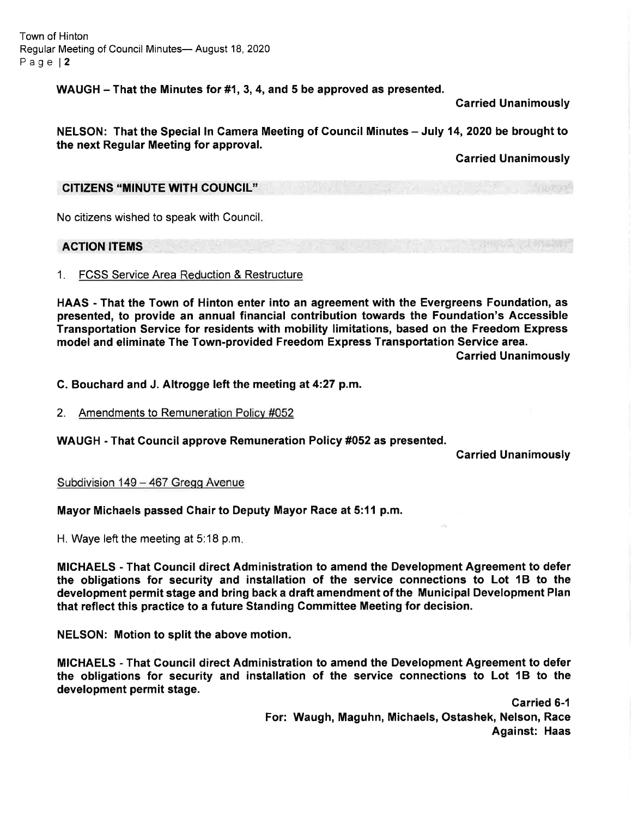Town of Hinton Regular Meeting of Council Minutes- August 18, 2020 Page l2

WAUGH - That the Minutes for #1, 3, 4, and 5 be approved as presented.

Garried Unanimously

NELSON: That the Special In Camera Meeting of Council Minutes - July 14, 2020 be brought to the next Regular Meeting for approval.

Garried Unanimously

### CITIZENS "MINUTE WITH COUNCIL"

No citizens wished to speak with Council

## ACTION ITEMS

### 1. FCSS Service Area Reduction & Restructure

HAAS - That the Town of Hinton enter into an agreement with the Evergreens Foundation, as presented, to provide an annual financial contribution towards the Foundation's Accessible Transportation Service for residents with mobility limitations, based on the Freedom Express model and eliminate The Town-provided Freedom Express Transportation Service area.

Carried Unanimously

### C. Bouchard and J. Altrogge left the meeting at 4:27 p.m.

### 2. Amendments to Remuneration Policv #052

WAUGH - That Council approve Remuneration Policy #052 as presented.

Carried Unanimously

### Subdivision 149 - 467 Gregg Avenue

### Mayor Michaels passed Chair to Deputy Mayor Race at 5:11 p.m.

H. Waye left the meeting at 5:18 p.m

MICHAELS - That Council direct Administration to amend the Development Agreement to defer the obligations for security and installation of the service connections to Lot 18 to the development permit stage and bring back a draft amendment of the Municipal Development Plan that reflect this practice to a future Standing Committee Meeting for decision.

NELSON: Motion to split the above motion

MICHAELS - That Gouncil direct Administration to amend the Development Agreement to defer the obligations for security and installation of the service connections to Lot 18 to the development permit stage.

> Carried 6-1 For: Waugh, Maguhn, Michaels, Ostashek, Nelson, Race Against: Haas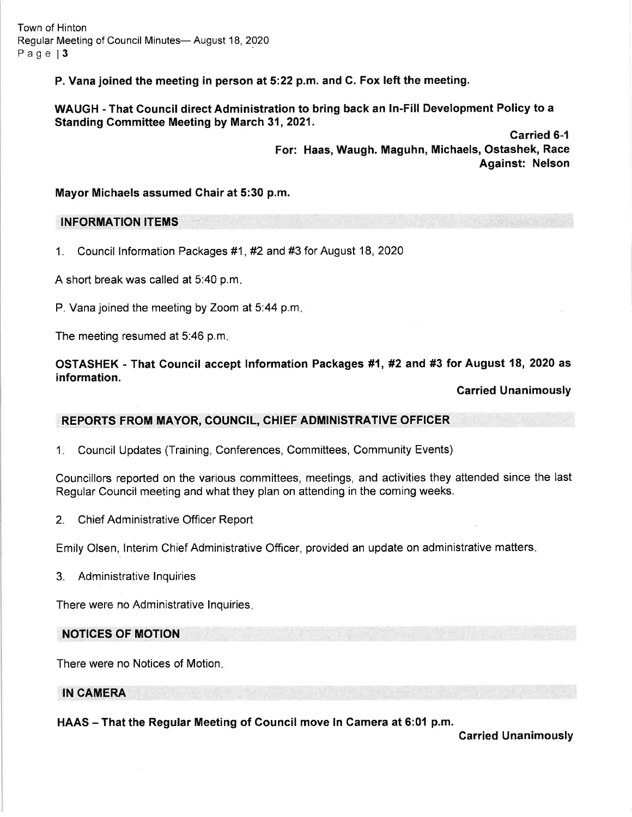Town of Hinton Regular Meeting of Council Minutes- August 18, 2020 Page 13

P. Vana joined the meeting in person at5:22 p.m. and C. Fox left the meeting.

WAUGH - That Council direct Administration to bring back an In-Fill Development Policy to a Standing Committee Meeting by March 31, 2021.

> Carried 6-1 For: Haas, Waugh. Maguhn, Michaels, Ostashek, Race Against: Nelson

Mayor Michaels assumed Chair at 5:30 p.m.

### INFORMATION ITEMS

1. Council lnformation Packages #1 , #2 and #3 for August 18, <sup>2020</sup>

A short break was called at 5:40 p.m

P. Vana joined the meeting by Zoom at 5:44 p.m.

The meeting resumed at 5:46 p.m

OSTASHEK - That Gouncil accept lnformation Packages #1, #2 and #3 for August 18, 2020 as information.

#### Carried Unanimously

### REPORTS FROM MAYOR, COUNCIL, CHIEF ADMINISTRATIVE OFFICER

1. Council Updates (Training, Conferences, Committees, Community Events)

Councillors reported on the various committees, meetings, and activities they attended since the last Regular Council meeting and what they plan on attending in the coming weeks.

2. Chief Administrative Officer Report

Emily Olsen, lnterim Chief Administrative Officer, provided an update on administrative matters

3. Administrative lnquiries

There were no Administrative lnquiries

### NOTICES OF MOTION

There were no Notices of Motion

#### IN CAMERA

HAAS - That the Regular Meeting of Council move In Camera at 6:01 p.m.

Garried Unanimously